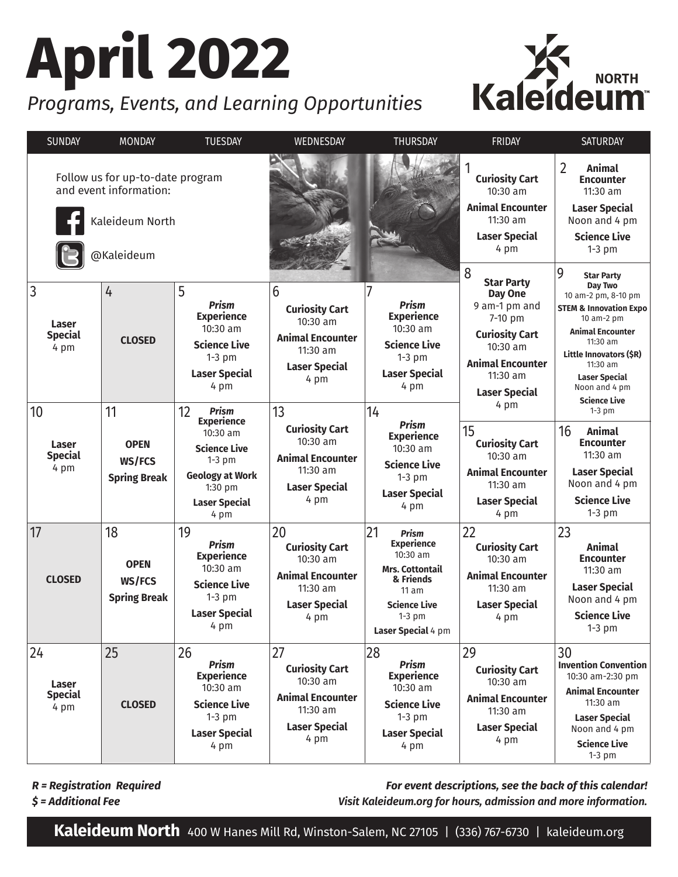# **April 2022**

### *Programs, Events, and Learning Opportunities*



| <b>SUNDAY</b>                                              | <b>MONDAY</b>                                      | <b>TUESDAY</b>                                                                                                                                              | WEDNESDAY                                                                                                         | <b>THURSDAY</b>                                                                                                                                                | FRIDAY                                                                                                                                                                | <b>SATURDAY</b>                                                                                                                                                                                                                      |
|------------------------------------------------------------|----------------------------------------------------|-------------------------------------------------------------------------------------------------------------------------------------------------------------|-------------------------------------------------------------------------------------------------------------------|----------------------------------------------------------------------------------------------------------------------------------------------------------------|-----------------------------------------------------------------------------------------------------------------------------------------------------------------------|--------------------------------------------------------------------------------------------------------------------------------------------------------------------------------------------------------------------------------------|
| Follow us for up-to-date program<br>and event information: |                                                    |                                                                                                                                                             |                                                                                                                   |                                                                                                                                                                | <b>Curiosity Cart</b><br>10:30 am                                                                                                                                     | $\overline{2}$<br><b>Animal</b><br><b>Encounter</b><br>11:30 am                                                                                                                                                                      |
| Kaleideum North                                            |                                                    |                                                                                                                                                             |                                                                                                                   |                                                                                                                                                                | <b>Animal Encounter</b><br>$11:30$ am                                                                                                                                 | <b>Laser Special</b><br>Noon and 4 pm                                                                                                                                                                                                |
| @Kaleideum                                                 |                                                    |                                                                                                                                                             |                                                                                                                   |                                                                                                                                                                | <b>Laser Special</b><br>4 pm                                                                                                                                          | <b>Science Live</b><br>$1-3$ pm                                                                                                                                                                                                      |
| $\overline{3}$<br>Laser<br><b>Special</b><br>4 pm          | 4<br><b>CLOSED</b>                                 | 5<br><b>Prism</b><br><b>Experience</b><br>$10:30$ am<br><b>Science Live</b><br>$1-3$ pm<br><b>Laser Special</b><br>4 pm                                     | 6<br><b>Curiosity Cart</b><br>$10:30$ am<br><b>Animal Encounter</b><br>$11:30$ am<br><b>Laser Special</b><br>4 pm | <b>Prism</b><br><b>Experience</b><br>$10:30$ am<br><b>Science Live</b><br>$1-3$ pm<br><b>Laser Special</b><br>4 pm                                             | 8<br><b>Star Party</b><br>Day One<br>9 am-1 pm and<br>7-10 pm<br><b>Curiosity Cart</b><br>$10:30$ am<br><b>Animal Encounter</b><br>$11:30$ am<br><b>Laser Special</b> | 9<br><b>Star Party</b><br>Day Two<br>10 am-2 pm, 8-10 pm<br><b>STEM &amp; Innovation Expo</b><br>10 am-2 pm<br><b>Animal Encounter</b><br>11:30 am<br>Little Innovators (\$R)<br>$11:30$ am<br><b>Laser Special</b><br>Noon and 4 pm |
| 10<br>Laser<br><b>Special</b><br>4 pm                      | 11<br><b>OPEN</b><br>WS/FCS<br><b>Spring Break</b> | 12<br><b>Prism</b><br><b>Experience</b><br>10:30 am<br><b>Science Live</b><br>$1-3$ pm<br><b>Geology at Work</b><br>1:30 pm<br><b>Laser Special</b><br>4 pm | 13<br><b>Curiosity Cart</b><br>$10:30$ am<br><b>Animal Encounter</b><br>11:30 am<br><b>Laser Special</b><br>4 pm  | 14<br><b>Prism</b><br><b>Experience</b><br>$10:30$ am<br><b>Science Live</b><br>$1-3$ pm<br><b>Laser Special</b><br>4 pm                                       | 4 pm<br>15<br><b>Curiosity Cart</b><br>$10:30$ am<br><b>Animal Encounter</b><br>$11:30$ am<br><b>Laser Special</b><br>4 pm                                            | <b>Science Live</b><br>$1-3$ pm<br>16<br><b>Animal</b><br><b>Encounter</b><br>$11:30$ am<br><b>Laser Special</b><br>Noon and 4 pm<br><b>Science Live</b><br>$1-3$ pm                                                                 |
| 17<br><b>CLOSED</b>                                        | 18<br><b>OPEN</b><br>WS/FCS<br><b>Spring Break</b> | 19<br><b>Prism</b><br><b>Experience</b><br>10:30 am<br><b>Science Live</b><br>$1-3$ pm<br><b>Laser Special</b><br>4 pm                                      | 20<br><b>Curiosity Cart</b><br>$10:30$ am<br><b>Animal Encounter</b><br>11:30 am<br><b>Laser Special</b><br>4 pm  | 21<br><b>Prism</b><br><b>Experience</b><br>$10:30$ am<br><b>Mrs. Cottontail</b><br>& Friends<br>11 am<br><b>Science Live</b><br>$1-3$ pm<br>Laser Special 4 pm | 22<br><b>Curiosity Cart</b><br>$10:30$ am<br><b>Animal Encounter</b><br>$11:30$ am<br><b>Laser Special</b><br>4 pm                                                    | 23<br><b>Animal</b><br><b>Encounter</b><br>$11:30$ am<br><b>Laser Special</b><br>Noon and 4 pm<br><b>Science Live</b><br>$1-3$ pm                                                                                                    |
| 24<br>Laser<br><b>Special</b><br>4 pm                      | 25<br><b>CLOSED</b>                                | 26<br><b>Prism</b><br><b>Experience</b><br>$10:30$ am<br><b>Science Live</b><br>$1-3$ pm<br><b>Laser Special</b><br>4 pm                                    | 27<br><b>Curiosity Cart</b><br>10:30 am<br><b>Animal Encounter</b><br>11:30 am<br><b>Laser Special</b><br>4 pm    | 28<br><b>Prism</b><br><b>Experience</b><br>10:30 am<br><b>Science Live</b><br>$1-3$ pm<br><b>Laser Special</b><br>4 pm                                         | 29<br><b>Curiosity Cart</b><br>10:30 am<br><b>Animal Encounter</b><br>11:30 am<br><b>Laser Special</b><br>4 pm                                                        | 30<br><b>Invention Convention</b><br>10:30 am-2:30 pm<br><b>Animal Encounter</b><br>11:30 am<br><b>Laser Special</b><br>Noon and 4 pm<br><b>Science Live</b><br>$1-3$ pm                                                             |

*R = Registration Required*

*For event descriptions, see the back of this calendar! Visit Kaleideum.org for hours, admission and more information.*

*\$ = Additional Fee*

**Kaleideum North** 400 W Hanes Mill Rd, Winston-Salem, NC 27105 | (336) 767-6730 | kaleideum.org